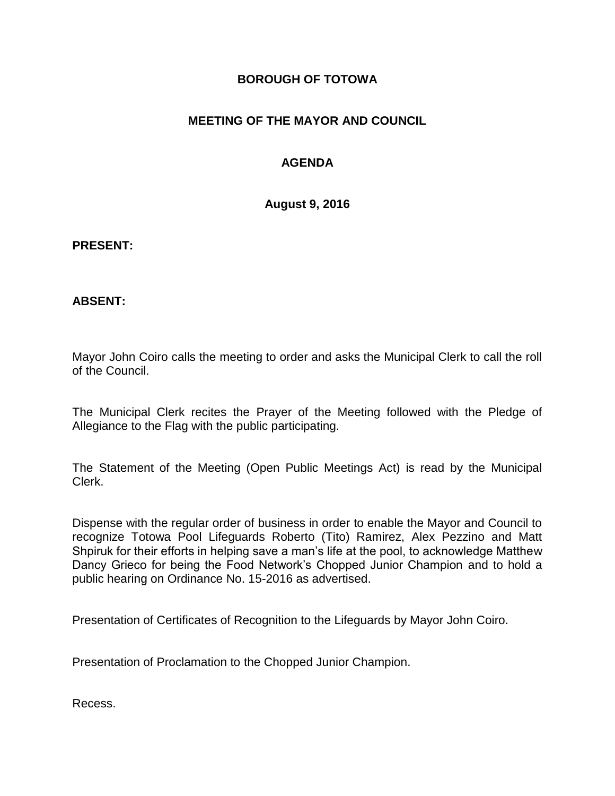## **BOROUGH OF TOTOWA**

## **MEETING OF THE MAYOR AND COUNCIL**

## **AGENDA**

**August 9, 2016**

**PRESENT:**

**ABSENT:**

Mayor John Coiro calls the meeting to order and asks the Municipal Clerk to call the roll of the Council.

The Municipal Clerk recites the Prayer of the Meeting followed with the Pledge of Allegiance to the Flag with the public participating.

The Statement of the Meeting (Open Public Meetings Act) is read by the Municipal Clerk.

Dispense with the regular order of business in order to enable the Mayor and Council to recognize Totowa Pool Lifeguards Roberto (Tito) Ramirez, Alex Pezzino and Matt Shpiruk for their efforts in helping save a man's life at the pool, to acknowledge Matthew Dancy Grieco for being the Food Network's Chopped Junior Champion and to hold a public hearing on Ordinance No. 15-2016 as advertised.

Presentation of Certificates of Recognition to the Lifeguards by Mayor John Coiro.

Presentation of Proclamation to the Chopped Junior Champion.

Recess.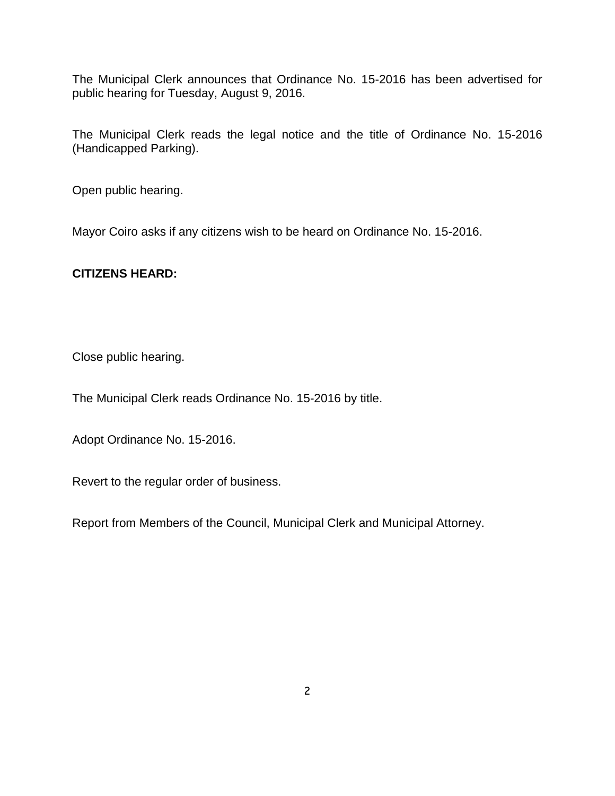The Municipal Clerk announces that Ordinance No. 15-2016 has been advertised for public hearing for Tuesday, August 9, 2016.

The Municipal Clerk reads the legal notice and the title of Ordinance No. 15-2016 (Handicapped Parking).

Open public hearing.

Mayor Coiro asks if any citizens wish to be heard on Ordinance No. 15-2016.

## **CITIZENS HEARD:**

Close public hearing.

The Municipal Clerk reads Ordinance No. 15-2016 by title.

Adopt Ordinance No. 15-2016.

Revert to the regular order of business.

Report from Members of the Council, Municipal Clerk and Municipal Attorney.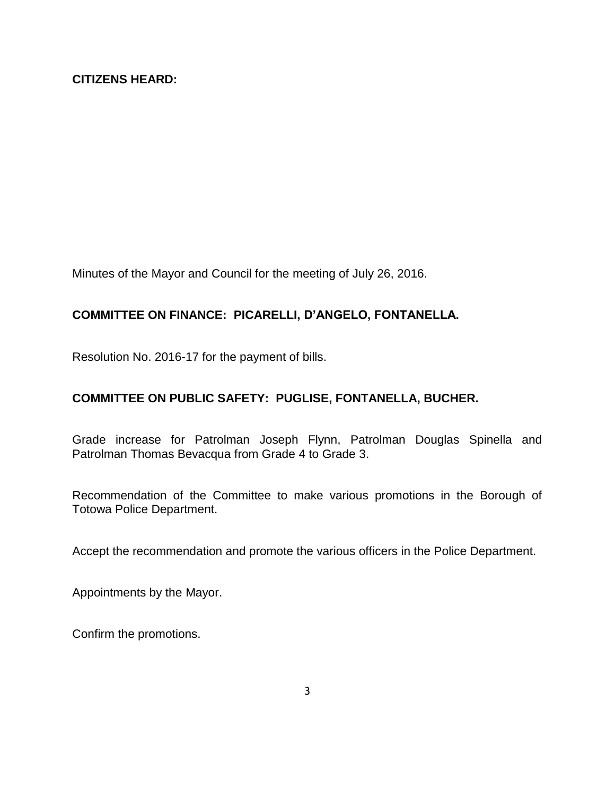Minutes of the Mayor and Council for the meeting of July 26, 2016.

# **COMMITTEE ON FINANCE: PICARELLI, D'ANGELO, FONTANELLA.**

Resolution No. 2016-17 for the payment of bills.

# **COMMITTEE ON PUBLIC SAFETY: PUGLISE, FONTANELLA, BUCHER.**

Grade increase for Patrolman Joseph Flynn, Patrolman Douglas Spinella and Patrolman Thomas Bevacqua from Grade 4 to Grade 3.

Recommendation of the Committee to make various promotions in the Borough of Totowa Police Department.

Accept the recommendation and promote the various officers in the Police Department.

Appointments by the Mayor.

Confirm the promotions.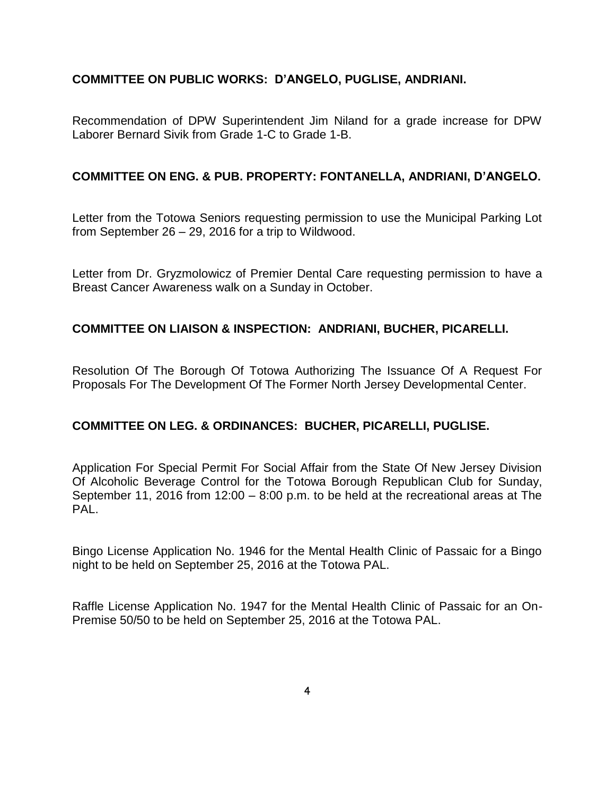### **COMMITTEE ON PUBLIC WORKS: D'ANGELO, PUGLISE, ANDRIANI.**

Recommendation of DPW Superintendent Jim Niland for a grade increase for DPW Laborer Bernard Sivik from Grade 1-C to Grade 1-B.

### **COMMITTEE ON ENG. & PUB. PROPERTY: FONTANELLA, ANDRIANI, D'ANGELO.**

Letter from the Totowa Seniors requesting permission to use the Municipal Parking Lot from September 26 – 29, 2016 for a trip to Wildwood.

Letter from Dr. Gryzmolowicz of Premier Dental Care requesting permission to have a Breast Cancer Awareness walk on a Sunday in October.

## **COMMITTEE ON LIAISON & INSPECTION: ANDRIANI, BUCHER, PICARELLI.**

Resolution Of The Borough Of Totowa Authorizing The Issuance Of A Request For Proposals For The Development Of The Former North Jersey Developmental Center.

#### **COMMITTEE ON LEG. & ORDINANCES: BUCHER, PICARELLI, PUGLISE.**

Application For Special Permit For Social Affair from the State Of New Jersey Division Of Alcoholic Beverage Control for the Totowa Borough Republican Club for Sunday, September 11, 2016 from 12:00 – 8:00 p.m. to be held at the recreational areas at The PAL.

Bingo License Application No. 1946 for the Mental Health Clinic of Passaic for a Bingo night to be held on September 25, 2016 at the Totowa PAL.

Raffle License Application No. 1947 for the Mental Health Clinic of Passaic for an On-Premise 50/50 to be held on September 25, 2016 at the Totowa PAL.